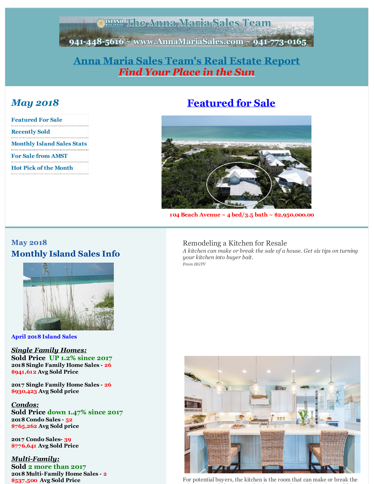**ERANT The Anna Maria Sales Team** 

<span id="page-0-0"></span>941-448-5616 ~ www.AnnaMariaSales.com ~ 941-773-0165

## **Anna Maria Sales [Team's](http://r20.rs6.net/tn.jsp?f=001XOy_zi6ChOSXS0XPuX0hNvliSIXYgGBkER72BmquneiBIg74lWkYIwoSzZ-1ERImB46QHw-czN1HoX-l4YDzFPMM1H2OcYq0dlh1rxgCtNyoafwwYZisoCSPO9sq4kFEO4gPMNH-XaL9e0anR4j8veQZTDu7P14PZ6A5_FBzjozUL6pLvdvgEQ==&c=&ch=) Real Estate Report** *Find Your Place in the Sun*

## *May 2018*

| <b>Featured For Sale</b>          |
|-----------------------------------|
| <b>Recently Sold</b>              |
| <b>Monthly Island Sales Stats</b> |
| <b>For Sale from AMST</b>         |
|                                   |
| <b>Hot Pick of the Month</b>      |

# **[Featured](http://r20.rs6.net/tn.jsp?f=001XOy_zi6ChOSXS0XPuX0hNvliSIXYgGBkER72BmquneiBIg74lWkYI-4wI_EnLhTRvxtL6Z1yPw-T4eDjsOFVTs85YmD23fCGnAR05TpGRrYqfUUGbGAX8e1CA0IiedZZo8oENvyvbFiIUyQBoG8cC1hdMAhraOiH4d1Z1CiyedToTYCNX0doHgCdAuKiU-71RCC4oEzDN6tdy8A34sRzQDPQMKOWC5FTe-lKD_zb9p7czX03qVRR4Q==&c=&ch=) for Sale**



**104 Beach Avenue ~ 4 bed/3.5 bath ~ \$2,950,000.00**

## **May 2018 Monthly Island Sales Info**



**April 2018 Island Sales**

*Single Family Homes:* **Sold Price UP 1.2% since 2017 2018 Single Family Home Sales - 26 \$941,612 Avg Sold Price**

**2017 Single Family Home Sales - 26 \$930,423 Avg Sold price**

*Condos:* **Sold Price down 1.47% since 2017 2018 Condo Sales - 52 \$765,262 Avg Sold price**

**2017 Condo Sales- 39 \$776,641 Avg Sold Price**

*Multi-Family:* **Sold 2 more than 2017 2018 Multi-Family Home Sales - 2 \$537,500 Avg Sold Price**

#### Remodeling a Kitchen for Resale

*A kitchen can make or break the sale of a house. Get six tips on turning your kitchen into buyer bait. From HGTV*



For potential buyers, the kitchen is the room that can make or break the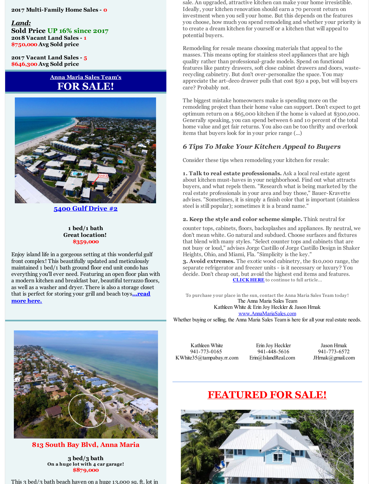**2017 Multi-Family Home Sales - 0**

*Land:* **Sold Price UP 16% since 2017 2018 Vacant Land Sales - 1 \$750,000 Avg Sold price**

**2017 Vacant Land Sales - 5 \$646,300 Avg Sold price**

#### **Anna Maria Sales Team's FOR SALE!**



**5400 Gulf [Drive](http://r20.rs6.net/tn.jsp?f=001XOy_zi6ChOSXS0XPuX0hNvliSIXYgGBkER72BmquneiBIg74lWkYI8QjWu7c11U4OQxOYoWnI2KVx0bkWYPdKrbmdAqzHSEDWxJFyayfSR9UJui2gbZ5c2QEbbQCIhAKuM0QsIYTr5ejaXAQGShpHodhulEnB1cryR6cPZFot57tqfrNWRW297tGgUPEVAsvSeTp9vPOsh6NI-50iNWVEMzdvgdJijl-nSiF2FM0qvTBEtA3pL7KRA==&c=&ch=) #2**

#### **1 bed/1 bath Great location! \$359,000**

Enjoy island life in a gorgeous setting at this wonderful gulf front complex! This beautifully updated and meticulously maintained 1 bed/1 bath ground floor end unit condo has everything you'll ever need. Featuring an open floor plan with a modern kitchen and breakfast bar, beautiful terrazzo floors, as well as a washer and dryer. There is also a storage closet that is perfect for storing your grill and beach toys**[...read](http://r20.rs6.net/tn.jsp?f=001XOy_zi6ChOSXS0XPuX0hNvliSIXYgGBkER72BmquneiBIg74lWkYI8QjWu7c11U4OQxOYoWnI2KVx0bkWYPdKrbmdAqzHSEDWxJFyayfSR9UJui2gbZ5c2QEbbQCIhAKuM0QsIYTr5ejaXAQGShpHodhulEnB1cryR6cPZFot57tqfrNWRW297tGgUPEVAsvSeTp9vPOsh6NI-50iNWVEMzdvgdJijl-nSiF2FM0qvTBEtA3pL7KRA==&c=&ch=) more here.**

sale. An upgraded, attractive kitchen can make your home irresistible. Ideally, your kitchen renovation should earn a 70 percent return on investment when you sell your home. But this depends on the features you choose, how much you spend remodeling and whether your priority is to create a dream kitchen for yourself or a kitchen that will appeal to potential buyers.

Remodeling for resale means choosing materials that appeal to the masses. This means opting for stainless steel appliances that are high quality rather than professional-grade models. Spend on functional features like pantry drawers, soft close cabinet drawers and doors, wasterecycling cabinetry. But don't over-personalize the space. You may appreciate the art-deco drawer pulls that cost \$50 a pop, but will buyers care? Probably not.

The biggest mistake homeowners make is spending more on the remodeling project than their home value can support. Don't expect to get optimum return on a \$65,000 kitchen if the home is valued at \$300,000. Generally speaking, you can spend between 6 and 10 percent of the total home value and get fair returns. You also can be too thrifty and overlook items that buyers look for in your price range (...)

#### *6 Tips To Make Your Kitchen Appeal to Buyers*

Consider these tips when remodeling your kitchen for resale:

**1. Talk to real estate professionals.** Ask a local real estate agent about kitchen must-haves in your neighborhood. Find out what attracts buyers, and what repels them. "Research what is being marketed by the real estate professionals in your area and buy those," Bauer-Kravette advises. "Sometimes, it is simply a finish color that is important (stainless steel is still popular); sometimes it is a brand name."

#### **2. Keep the style and color scheme simple.** Think neutral for

counter tops, cabinets, floors, backsplashes and appliances. By neutral, we don't mean white. Go natural and subdued. Choose surfaces and fixtures that blend with many styles. "Select counter tops and cabinets that are not busy or loud," advises Jorge Castillo of Jorge Castillo Design in Shaker Heights, Ohio, and Miami, Fla. "Simplicity is the key."

**3. Avoid extremes.** The exotic wood cabinetry, the \$10,000 range, the separate refrigerator and freezer units - is it necessary or luxury? You decide. Don't cheap out, but avoid the highest end items and features. **[CLICK](http://r20.rs6.net/tn.jsp?f=001XOy_zi6ChOSXS0XPuX0hNvliSIXYgGBkER72BmquneiBIg74lWkYI-4wI_EnLhTReeyWES8gFGvF0mXK-BzRb8sWbVGFdcyXl39xU2Qhp9Cye0reCxatqOLrXrezOUG41_M9NwMa_L_kLKlz-0SucaSwIXM-DgrxHz2l02CJDFXzlA4RwRJssWYZd5Twoo89PElzH9ypEma3dtQiv5xzT6sTS3FWW9Su&c=&ch=) HERE** to continue to full article...

To purchase your place in the sun, contact the Anna Maria Sales Team today ! The Anna Maria Sales Team Kathleen White & Erin Joy Heckler & Jason Hrnak [www.AnnaMariaSales.com](http://r20.rs6.net/tn.jsp?f=001XOy_zi6ChOSXS0XPuX0hNvliSIXYgGBkER72BmquneiBIg74lWkYIwoSzZ-1ERImB46QHw-czN1HoX-l4YDzFPMM1H2OcYq0dlh1rxgCtNyoafwwYZisoCSPO9sq4kFEO4gPMNH-XaL9e0anR4j8veQZTDu7P14PZ6A5_FBzjozUL6pLvdvgEQ==&c=&ch=)

Whether buying or selling, the Anna Maria Sales Team is here for all your real estate needs.



**813 South Bay Blvd, Anna Maria**

**3 bed/3 bath On a huge lot with 4 car garage! \$879,000**

This 3 bed/3 bath beach haven on a huge 13,000 sq. ft. lot in

Kathleen White 941-773-0165 KWhite35@tampabay.rr.com

Erin Joy Heckler 941-448-5616 Erin@IslandReal.com

Jason Hrnak 941-773-6572 JHrnak@gmail.com

# **[FEATURED](http://r20.rs6.net/tn.jsp?f=001XOy_zi6ChOSXS0XPuX0hNvliSIXYgGBkER72BmquneiBIg74lWkYI-rOJetVqcbT1qPkbRzQE86SYW5O0u05tjhWU_U_SSWW_gsX8zaRVPnY6X3IolRaOJGbCeKHDikT4Vrj6s-xcW9lNlFmYW4-hQZkgbBLEdThWM6F26q5q847-uxJScHiPhP1gG4nDQqiFYGTT_Zk4Z5FIWOxik-Ja4w9NC-y7pA5vh0-OodIFsw=&c=&ch=) FOR SALE!**

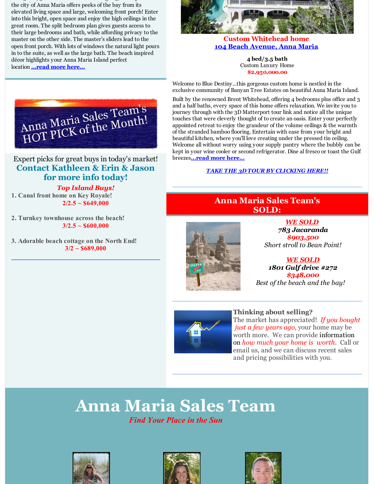This 3 bath below the bath beach in a huge 13,000 sq. ft. lot in a huge 13,000 sq. ft. lot in a huge 13,000 sq. ft. lot in a huge 13,000 sq. ft. lot in a huge 13,000 sq. ft. ft. in a huge 13,000 sq. ft. ft. in a huge 13,00 the city of Anna Maria offers peeks of the bay from its elevated living space and large, welcoming front porch! Enter into this bright, open space and enjoy the high ceilings in the great room. The split bedroom plan gives guests access to their large bedrooms and bath, while affording privacy to the master on the other side. The master's sliders lead to the open front porch. With lots of windows the natural light pours in to the suite, as well as the large bath. The beach inspired décor highlights your Anna Maria Island perfect location **[...read](http://r20.rs6.net/tn.jsp?f=001XOy_zi6ChOSXS0XPuX0hNvliSIXYgGBkER72BmquneiBIg74lWkYI-4wI_EnLhTR_ow3L2MPXk0TwDvL000I2IMZinZFP7cL55BS-_4jStQ6joXuEnh8JkDQRhzCCtSz5R5XfUdyfWM1HgHjOUN-xxx5H2qL3npLusaKDQbSOWrlO3NHpElVdeeDK7uQv86ySHUB5wqHVycGGurR-MmbEBw9psMUbh5LqN3u3PpkhC2KARNca4wtfmxXq6YVzlDZ&c=&ch=) more here...**



#### **Custom Whitehead home 104 Beach [Avenue,](http://r20.rs6.net/tn.jsp?f=001XOy_zi6ChOSXS0XPuX0hNvliSIXYgGBkER72BmquneiBIg74lWkYI-4wI_EnLhTRvxtL6Z1yPw-T4eDjsOFVTs85YmD23fCGnAR05TpGRrYqfUUGbGAX8e1CA0IiedZZo8oENvyvbFiIUyQBoG8cC1hdMAhraOiH4d1Z1CiyedToTYCNX0doHgCdAuKiU-71RCC4oEzDN6tdy8A34sRzQDPQMKOWC5FTe-lKD_zb9p7czX03qVRR4Q==&c=&ch=) Anna Maria**

**4 bed/3.5 bath** Custom Luxury Home **\$2,950,000.00**

Welcome to Blue Destiny...this gorgeous custom home is nestled in the exclusive community of Banyan Tree Estates on beautiful Anna Maria Island.

Built by the renowned Brent Whitehead, offering 4 bedrooms plus office and 3 and a half baths, every space of this home offers relaxation. We invite you to journey through with the 3D Matterport tour link and notice all the unique touches that were cleverly thought of to create an oasis. Enter your perfectly appointed retreat to enjoy the grandeur of the volume ceilings & the warmth of the stranded bamboo flooring. Entertain with ease from your bright and beautiful kitchen, where you'll love creating under the pressed tin ceiling. Welcome all without worry using your supply pantry where the bubbly can be kept in your wine cooler or second refrigerator. Dine al fresco or toast the Gulf breezes**[...read](http://r20.rs6.net/tn.jsp?f=001XOy_zi6ChOSXS0XPuX0hNvliSIXYgGBkER72BmquneiBIg74lWkYI-4wI_EnLhTRvxtL6Z1yPw-T4eDjsOFVTs85YmD23fCGnAR05TpGRrYqfUUGbGAX8e1CA0IiedZZo8oENvyvbFiIUyQBoG8cC1hdMAhraOiH4d1Z1CiyedToTYCNX0doHgCdAuKiU-71RCC4oEzDN6tdy8A34sRzQDPQMKOWC5FTe-lKD_zb9p7czX03qVRR4Q==&c=&ch=) more here...**

#### *TAKE THE 3D TOUR BY [CLICKING](http://r20.rs6.net/tn.jsp?f=001XOy_zi6ChOSXS0XPuX0hNvliSIXYgGBkER72BmquneiBIg74lWkYI8QjWu7c11U4H1sMCUoQqjheZNTn3ABWflPv7EaOdZYy-ubti0U57iXEJLaitmei7-u6UkvbNz5kvo_ft9M3eG55_aazvfmy5AZO5MMXh-8GcUQXFx62DNJGJM8EBufpazGvcnsDTib42fKZ8VylTId_k09sNOAl-UaO9Qbzn29s&c=&ch=) HERE!!*

## **Anna Maria Sales Team's SOLD:**

*783 Jacaranda \$903,500 Short stroll to Bean Point!*

*WE SOLD 1801 Gulf drive #272 \$348,000 Best of the beach and the bay!*



**Thinking about selling?** The market has appreciated! *If you bought just a few years ago*, your home may be worth more. We can provide information on *how much your home is worth*. Call or email us, and we can discuss recent sales and pricing possibilities with you.

# **Anna Maria Sales Team**

### *Find Your Place in the Sun*







*WE SOLD*



**3/2 ~ \$689,000**

Anna Maria Sales Team's Anna Maria Sales Itam

## Expert picks for great buys in today's market! **Contact Kathleen & Erin & Jason for more info today!**

*Top Island Buys!* **1. Canal front home on Key Royale!**  $2/2.5 \sim $649,000$ 

**2. Turnkey townhouse across the beach! 3/2.5 ~ \$600,000**

**3. Adorable beach cottage on the North End!**